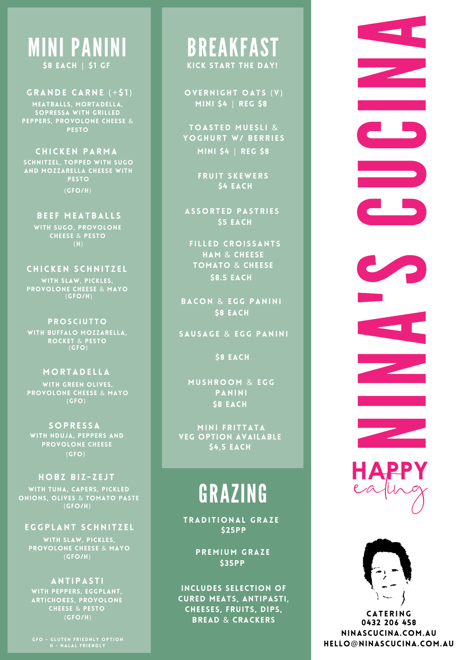## **MINI PANINI** \$8 EACH | \$1 GF

GRANDE CARNE (+\$1) MEATBALLS, MORTADELLA, sOPRESSA WITH GRILLED PEPPERS, PROVOLONE CHEESE & PESTO

CHICKEN PARMA SCHNITZEL, TOPPED WITH SUGO AND MOZZARELLA CHEESE WITH PESTO  $(GFO/H)$ 

> BEEF MEATBALLS WITH SUGO, PROVOLONE CHEESE & PESTO ( H )

CHICKEN SCHNITZEL WITH SLAW, PICKLES, PROVOLONE CHEESE & MAYO  $(GFO/H)$ 

**PROSCIUTTO** WITH BUFFALO MOZZARELLA, ROCKET & PESTO<br>(GFO)

#### **MORTADELLA**

WITH GREEN OLIVES, PROVOLONE CHEESE & MAYO ( G F O )

S O P R E S S A WITH NDUJA, PEPPERS AND PROVOLONE CHEESE  $(GFO)$ 

#### HOBZ BIZ-ZEJT

WITH TUNA, CAPERS, PICKLED ONIONS, OLIVES & TOMATO PASTE  $(GFO/H)$ 

### EGGPLANT SCHNITZEL

WITH SLAW, PICKLES, PROVOLONE CHEESE & MAYO ( G F O / H )

#### A N T I P A S T I

WITH PEPPERS, EGGPLANT, ARTICHOKES, PROVOLONE CHEESE & PESTO ( G F O / H )

GFO - GLUTEN FRIEDNLY OPTION<br>H - HALAL FRIENDLY

## **BREAKFAST** KICK START THE DAY!

OVERNIGHT OATS (V) MINI \$4 | REG \$8

TOASTED MUESLI & YOGHURT W/ BERRIES MINI \$4 | REG \$8

> FRUIT SKEWERS S4 EACH

ASSORTED PASTRIES **\$5 EACH** 

FILLED CROISSANTS HAM & CHEESE TOMATO & CHEESE \$8.5 EACH

BACON & EGG PANINI S8 EACH

SAUSAGE & EGG PANINI

S8 EACH

MUSHROOM & EGG PANINI S8 EACH

MINI FRITTATA S4,5 EACH VEG OPTION AVAILABLE

# **GRAZING**

TRADITIONAL GRAZE \$ 2 5 P P

> PREMIUM GRAZE \$ 3 5 P P

INCLUDES SELECTION OF CURED MEATS, ANTIPASTI, CHEESES, FRUITS, DIPS, BREAD & CRACKERS

NINA'S CUCINA





**CATERING** 0432 206 458 NINASCUCINA.COM.AU HELLO@NINASCUCINA.COM.AU